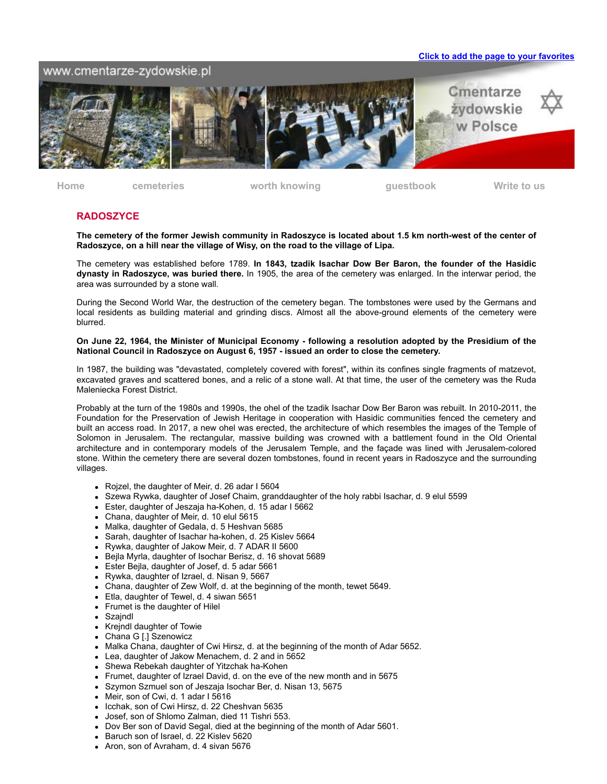#### **Click to add the page to your favorites**

## www.cmentarze-zydowskie.pl



**[Home](http://cmentarze-zydowskie.pl/index.htm) [cemeteries](http://cmentarze-zydowskie.pl/fotogalerie.htm) [worth knowing](http://cmentarze-zydowskie.pl/wartowiedziec.html) [guestbook](http://www.ksiega.4free.pl/ksiega.php?uid=273359) [Write to us](mailto:info@cmentarze-zydowskie.pl)**

### **RADOSZYCE**

**The cemetery of the former Jewish community in Radoszyce is located about 1.5 km north-west of the center of Radoszyce, on a hill near the village of Wisy, on the road to the village of Lipa.**

The cemetery was established before 1789. **In 1843, tzadik Isachar Dow Ber Baron, the founder of the Hasidic dynasty in Radoszyce, was buried there.** In 1905, the area of the cemetery was enlarged. In the interwar period, the area was surrounded by a stone wall.

During the Second World War, the destruction of the cemetery began. The tombstones were used by the Germans and local residents as building material and grinding discs. Almost all the above-ground elements of the cemetery were blurred.

#### **On June 22, 1964, the Minister of Municipal Economy - following a resolution adopted by the Presidium of the National Council in Radoszyce on August 6, 1957 - issued an order to close the cemetery.**

In 1987, the building was "devastated, completely covered with forest", within its confines single fragments of matzevot, excavated graves and scattered bones, and a relic of a stone wall. At that time, the user of the cemetery was the Ruda Maleniecka Forest District.

Probably at the turn of the 1980s and 1990s, the ohel of the tzadik Isachar Dow Ber Baron was rebuilt. In 2010-2011, the Foundation for the Preservation of Jewish Heritage in cooperation with Hasidic communities fenced the cemetery and built an access road. In 2017, a new ohel was erected, the architecture of which resembles the images of the Temple of Solomon in Jerusalem. The rectangular, massive building was crowned with a battlement found in the Old Oriental architecture and in contemporary models of the Jerusalem Temple, and the façade was lined with Jerusalem-colored stone. Within the cemetery there are several dozen tombstones, found in recent years in Radoszyce and the surrounding villages.

- Rojzel, the daughter of Meir, d. 26 adar I 5604
- Szewa Rywka, daughter of Josef Chaim, granddaughter of the holy rabbi Isachar, d. 9 elul 5599
- Ester, daughter of Jeszaja ha-Kohen, d. 15 adar I 5662
- Chana, daughter of Meir, d. 10 elul 5615
- Malka, daughter of Gedala, d. 5 Heshvan 5685
- Sarah, daughter of Isachar ha-kohen, d. 25 Kislev 5664
- Rywka, daughter of Jakow Meir, d. 7 ADAR II 5600
- Bejla Myrla, daughter of Isochar Berisz, d. 16 shovat 5689
- Ester Bejla, daughter of Josef, d. 5 adar 5661
- Rywka, daughter of Izrael, d. Nisan 9, 5667
- Chana, daughter of Zew Wolf, d. at the beginning of the month, tewet 5649.
- Etla, daughter of Tewel, d. 4 siwan 5651
- Frumet is the daughter of Hilel  $\bullet$
- Szajndl
- Krejndl daughter of Towie  $\bullet$
- Chana G [.] Szenowicz
- Malka Chana, daughter of Cwi Hirsz, d. at the beginning of the month of Adar 5652.
- Lea, daughter of Jakow Menachem, d. 2 and in 5652
- Shewa Rebekah daughter of Yitzchak ha-Kohen
- Frumet, daughter of Izrael David, d. on the eve of the new month and in 5675
- Szymon Szmuel son of Jeszaja Isochar Ber, d. Nisan 13, 5675
- Meir, son of Cwi, d. 1 adar I 5616
- Icchak, son of Cwi Hirsz, d. 22 Cheshvan 5635
- Josef, son of Shlomo Zalman, died 11 Tishri 553.
- Dov Ber son of David Segal, died at the beginning of the month of Adar 5601.
- Baruch son of Israel, d. 22 Kislev 5620
- Aron, son of Avraham, d. 4 sivan 5676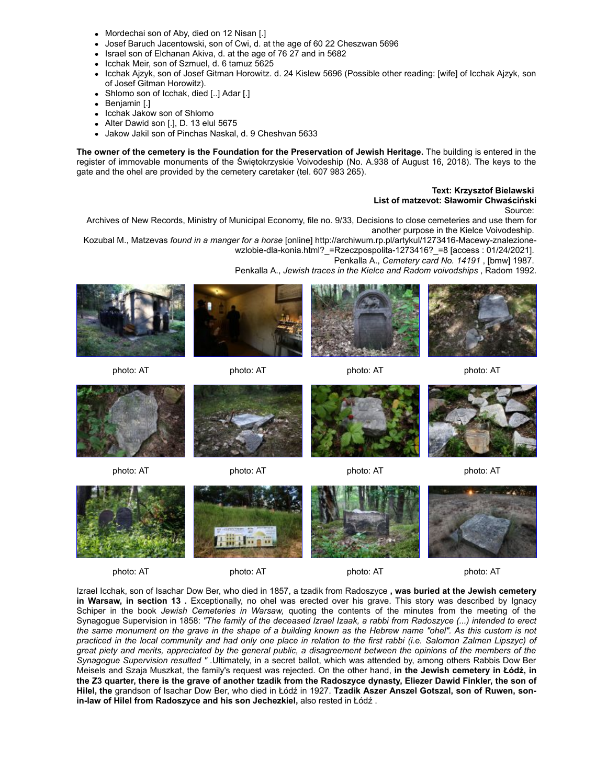- Mordechai son of Aby, died on 12 Nisan [.]
- Josef Baruch Jacentowski, son of Cwi, d. at the age of 60 22 Cheszwan 5696
- Israel son of Elchanan Akiva, d. at the age of 76 27 and in 5682
- Icchak Meir, son of Szmuel, d. 6 tamuz 5625
- Icchak Ajzyk, son of Josef Gitman Horowitz. d. 24 Kislew 5696 (Possible other reading: [wife] of Icchak Ajzyk, son of Josef Gitman Horowitz).
- Shlomo son of Icchak, died [..] Adar [.]
- Benjamin [.]  $\bullet$
- Icchak Jakow son of Shlomo
- Alter Dawid son [.], D. 13 elul 5675
- Jakow Jakil son of Pinchas Naskal, d. 9 Cheshvan 5633

**The owner of the cemetery is the Foundation for the Preservation of Jewish Heritage.** The building is entered in the register of immovable monuments of the Świętokrzyskie Voivodeship (No. A.938 of August 16, 2018). The keys to the gate and the ohel are provided by the cemetery caretaker (tel. 607 983 265).

## **Text: Krzysztof Bielawski**

**List of matzevot: Sławomir Chwaściński**

Source:

Archives of New Records, Ministry of Municipal Economy, file no. 9/33, Decisions to close cemeteries and use them for another purpose in the Kielce Voivodeship.

Kozubal M., Matzevas *found in a manger for a horse* [online] http://archiwum.rp.pl/artykul/1273416-Macewy-znalezionewzlobie-dla-konia.html? =Rzeczpospolita-1273416? =8 [access : 01/24/2021].

Penkalla A., *Cemetery card No. 14191* , [bmw] 1987.

Penkalla A., *Jewish traces in the Kielce and Radom voivodships* , Radom 1992.



















photo: AT photo: AT photo: AT photo: AT



photo: AT photo: AT photo: AT photo: AT

Izrael Icchak, son of Isachar Dow Ber, who died in 1857, a tzadik from Radoszyce **, was buried at the Jewish cemetery in Warsaw, in section 13**. Exceptionally, no ohel was erected over his grave. This story was described by Ignacy Schiper in the book *Jewish Cemeteries in Warsaw,* quoting the contents of the minutes from the meeting of the Synagogue Supervision in 1858: *"The family of the deceased Izrael Izaak, a rabbi from Radoszyce (...) intended to erect the same monument on the grave in the shape of a building known as the Hebrew name "ohel". As this custom is not practiced in the local community and had only one place in relation to the first rabbi (i.e. Salomon Zalmen Lipszyc) of great piety and merits, appreciated by the general public, a disagreement between the opinions of the members of the Synagogue Supervision resulted " .*Ultimately, in a secret ballot, which was attended by, among others Rabbis Dow Ber Meisels and Szaja Muszkat, the family's request was rejected. On the other hand, **in the Jewish cemetery in Łódź, in the Z3 quarter, there is the grave of another tzadik from the Radoszyce dynasty, Eliezer Dawid Finkler, the son of Hilel, the** grandson of Isachar Dow Ber, who died in Łódź in 1927. **Tzadik Aszer Anszel Gotszal, son of Ruwen, sonin-law of Hilel from Radoszyce and his son Jechezkiel,** also rested in Łódź .